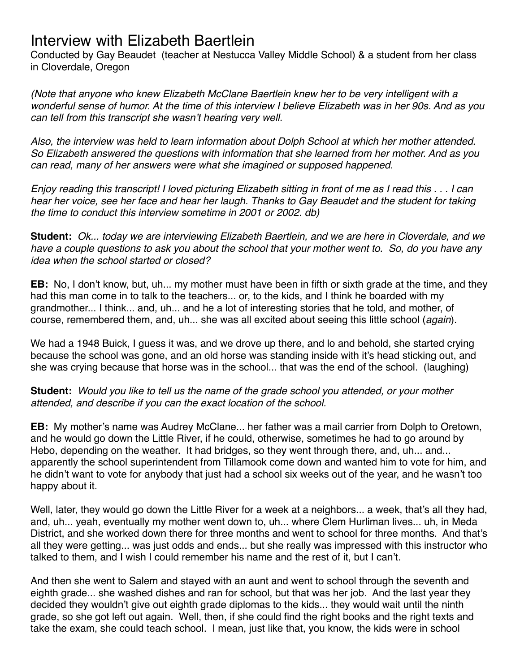Conducted by Gay Beaudet (teacher at Nestucca Valley Middle School) & a student from her class in Cloverdale, Oregon

*(Note that anyone who knew Elizabeth McClane Baertlein knew her to be very intelligent with a wonderful sense of humor. At the time of this interview I believe Elizabeth was in her 90s. And as you can tell from this transcript she wasn't hearing very well.* 

*Also, the interview was held to learn information about Dolph School at which her mother attended. So Elizabeth answered the questions with information that she learned from her mother. And as you can read, many of her answers were what she imagined or supposed happened.*

*Enjoy reading this transcript! I loved picturing Elizabeth sitting in front of me as I read this . . . I can hear her voice, see her face and hear her laugh. Thanks to Gay Beaudet and the student for taking the time to conduct this interview sometime in 2001 or 2002. db)*

**Student:** *Ok... today we are interviewing Elizabeth Baertlein, and we are here in Cloverdale, and we have a couple questions to ask you about the school that your mother went to. So, do you have any idea when the school started or closed?*

**EB:** No, I don't know, but, uh... my mother must have been in fifth or sixth grade at the time, and they had this man come in to talk to the teachers... or, to the kids, and I think he boarded with my grandmother... I think... and, uh... and he a lot of interesting stories that he told, and mother, of course, remembered them, and, uh... she was all excited about seeing this little school (*again*).

We had a 1948 Buick, I guess it was, and we drove up there, and Io and behold, she started crying because the school was gone, and an old horse was standing inside with it's head sticking out, and she was crying because that horse was in the school... that was the end of the school. (laughing)

**Student:** *Would you like to tell us the name of the grade school you attended, or your mother attended, and describe if you can the exact location of the school.*

**EB:** My mother's name was Audrey McClane... her father was a mail carrier from Dolph to Oretown, and he would go down the Little River, if he could, otherwise, sometimes he had to go around by Hebo, depending on the weather. It had bridges, so they went through there, and, uh... and... apparently the school superintendent from Tillamook come down and wanted him to vote for him, and he didn't want to vote for anybody that just had a school six weeks out of the year, and he wasn't too happy about it.

Well, later, they would go down the Little River for a week at a neighbors... a week, that's all they had, and, uh... yeah, eventually my mother went down to, uh... where Clem Hurliman lives... uh, in Meda District, and she worked down there for three months and went to school for three months. And that's all they were getting... was just odds and ends... but she really was impressed with this instructor who talked to them, and I wish I could remember his name and the rest of it, but I can't.

And then she went to Salem and stayed with an aunt and went to school through the seventh and eighth grade... she washed dishes and ran for school, but that was her job. And the last year they decided they wouldn't give out eighth grade diplomas to the kids... they would wait until the ninth grade, so she got left out again. Well, then, if she could find the right books and the right texts and take the exam, she could teach school. I mean, just like that, you know, the kids were in school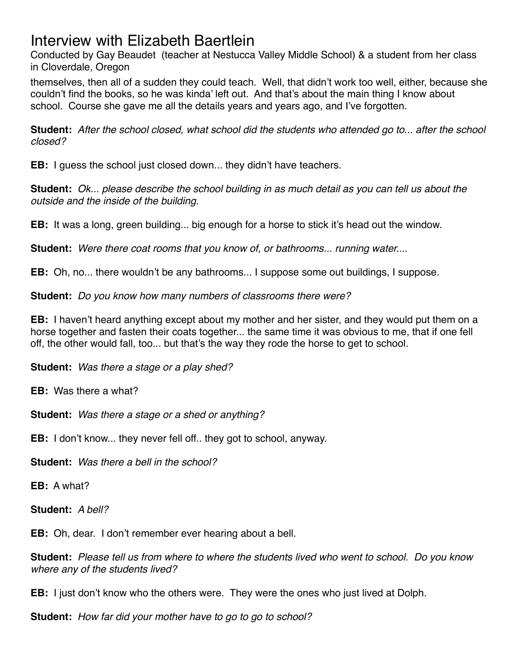Conducted by Gay Beaudet (teacher at Nestucca Valley Middle School) & a student from her class in Cloverdale, Oregon

themselves, then all of a sudden they could teach. Well, that didn't work too well, either, because she couldn't find the books, so he was kinda' left out. And that's about the main thing I know about school. Course she gave me all the details years and years ago, and I've forgotten.

**Student:** *After the school closed, what school did the students who attended go to... after the school closed?*

**EB:** I guess the school just closed down... they didn't have teachers.

**Student:** *Ok... please describe the school building in as much detail as you can tell us about the outside and the inside of the building.*

**EB:** It was a long, green building... big enough for a horse to stick it's head out the window.

**Student:** *Were there coat rooms that you know of, or bathrooms... running water....*

**EB:** Oh, no... there wouldn't be any bathrooms... I suppose some out buildings, I suppose.

**Student:** *Do you know how many numbers of classrooms there were?*

**EB:** I haven't heard anything except about my mother and her sister, and they would put them on a horse together and fasten their coats together... the same time it was obvious to me, that if one fell off, the other would fall, too... but that's the way they rode the horse to get to school.

**Student:** *Was there a stage or a play shed?*

**EB:** Was there a what?

**Student:** *Was there a stage or a shed or anything?*

**EB:** I don't know... they never fell off.. they got to school, anyway.

**Student:** *Was there a bell in the school?*

**EB:** A what?

**Student:** *A bell?*

**EB:** Oh, dear. I don't remember ever hearing about a bell.

**Student:** *Please tell us from where to where the students lived who went to school. Do you know where any of the students lived?*

**EB:** I just don't know who the others were. They were the ones who just lived at Dolph.

**Student:** *How far did your mother have to go to go to school?*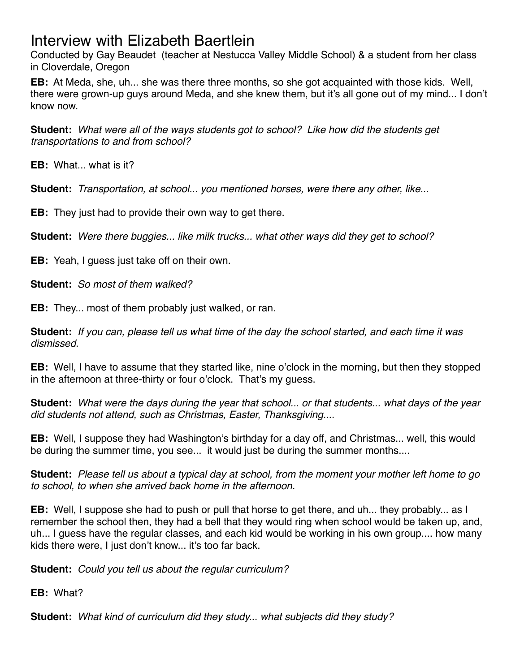Conducted by Gay Beaudet (teacher at Nestucca Valley Middle School) & a student from her class in Cloverdale, Oregon

**EB:** At Meda, she, uh... she was there three months, so she got acquainted with those kids. Well, there were grown-up guys around Meda, and she knew them, but it's all gone out of my mind... I don't know now.

**Student:** *What were all of the ways students got to school? Like how did the students get transportations to and from school?*

**EB:** What what is it?

**Student:** *Transportation, at school... you mentioned horses, were there any other, like.*..

**EB:** They just had to provide their own way to get there.

**Student:** *Were there buggies... like milk trucks... what other ways did they get to school?*

**EB:** Yeah, I guess just take off on their own.

**Student:** *So most of them walked?*

**EB:** They... most of them probably just walked, or ran.

**Student:** *If you can, please tell us what time of the day the school started, and each time it was dismissed.*

**EB:** Well, I have to assume that they started like, nine o'clock in the morning, but then they stopped in the afternoon at three-thirty or four o'clock. That's my guess.

**Student:** *What were the days during the year that school... or that students... what days of the year did students not attend, such as Christmas, Easter, Thanksgiving....*

**EB:** Well, I suppose they had Washington's birthday for a day off, and Christmas... well, this would be during the summer time, you see... it would just be during the summer months....

**Student:** *Please tell us about a typical day at school, from the moment your mother left home to go to school, to when she arrived back home in the afternoon.*

**EB:** Well, I suppose she had to push or pull that horse to get there, and uh... they probably... as I remember the school then, they had a bell that they would ring when school would be taken up, and, uh... I guess have the regular classes, and each kid would be working in his own group.... how many kids there were, I just don't know... it's too far back.

**Student:** *Could you tell us about the regular curriculum?*

**EB:** What?

**Student:** *What kind of curriculum did they study... what subjects did they study?*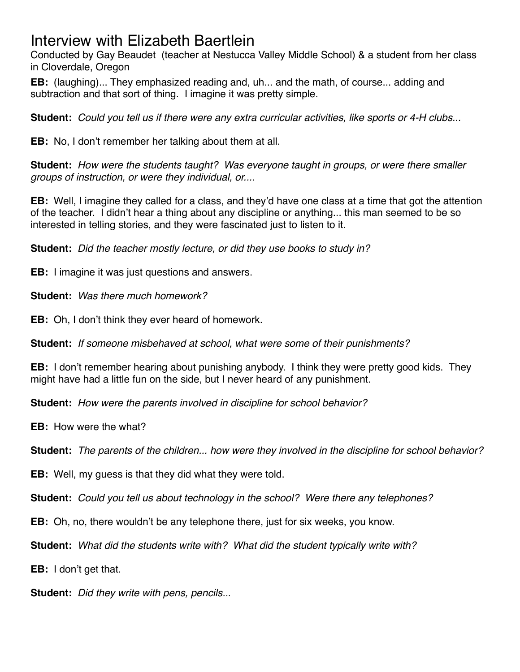Conducted by Gay Beaudet (teacher at Nestucca Valley Middle School) & a student from her class in Cloverdale, Oregon

**EB:** (laughing)... They emphasized reading and, uh... and the math, of course... adding and subtraction and that sort of thing. I imagine it was pretty simple.

**Student:** *Could you tell us if there were any extra curricular activities, like sports or 4-H clubs...*

**EB:** No, I don't remember her talking about them at all.

**Student:** *How were the students taught? Was everyone taught in groups, or were there smaller groups of instruction, or were they individual, or....*

**EB:** Well, I imagine they called for a class, and they'd have one class at a time that got the attention of the teacher. I didn't hear a thing about any discipline or anything... this man seemed to be so interested in telling stories, and they were fascinated just to listen to it.

**Student:** *Did the teacher mostly lecture, or did they use books to study in?*

**EB:** I imagine it was just questions and answers.

**Student:** *Was there much homework?*

**EB:** Oh, I don't think they ever heard of homework.

**Student:** *If someone misbehaved at school, what were some of their punishments?*

**EB:** I don't remember hearing about punishing anybody. I think they were pretty good kids. They might have had a little fun on the side, but I never heard of any punishment.

**Student:** *How were the parents involved in discipline for school behavior?*

**EB:** How were the what?

**Student:** *The parents of the children... how were they involved in the discipline for school behavior?*

**EB:** Well, my guess is that they did what they were told.

**Student:** *Could you tell us about technology in the school? Were there any telephones?*

**EB:** Oh, no, there wouldn't be any telephone there, just for six weeks, you know.

**Student:** *What did the students write with? What did the student typically write with?*

**EB:** I don't get that.

**Student:** *Did they write with pens, pencils..*.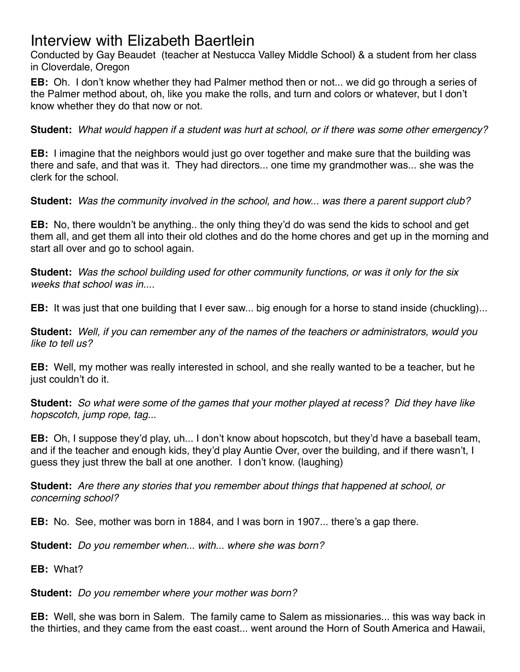Conducted by Gay Beaudet (teacher at Nestucca Valley Middle School) & a student from her class in Cloverdale, Oregon

**EB:** Oh. I don't know whether they had Palmer method then or not... we did go through a series of the Palmer method about, oh, like you make the rolls, and turn and colors or whatever, but I don't know whether they do that now or not.

**Student:** *What would happen if a student was hurt at school, or if there was some other emergency?*

**EB:** I imagine that the neighbors would just go over together and make sure that the building was there and safe, and that was it. They had directors... one time my grandmother was... she was the clerk for the school.

**Student:** *Was the community involved in the school, and how... was there a parent support club?*

**EB:** No, there wouldn't be anything.. the only thing they'd do was send the kids to school and get them all, and get them all into their old clothes and do the home chores and get up in the morning and start all over and go to school again.

**Student:** *Was the school building used for other community functions, or was it only for the six weeks that school was in....*

**EB:** It was just that one building that I ever saw... big enough for a horse to stand inside (chuckling)...

**Student:** *Well, if you can remember any of the names of the teachers or administrators, would you like to tell us?*

**EB:** Well, my mother was really interested in school, and she really wanted to be a teacher, but he just couldn't do it.

**Student:** *So what were some of the games that your mother played at recess? Did they have like hopscotch, jump rope, tag..*.

**EB:** Oh, I suppose they'd play, uh... I don't know about hopscotch, but they'd have a baseball team, and if the teacher and enough kids, they'd play Auntie Over, over the building, and if there wasn't, I guess they just threw the ball at one another. I don't know. (laughing)

**Student:** *Are there any stories that you remember about things that happened at school, or concerning school?*

**EB:** No. See, mother was born in 1884, and I was born in 1907... there's a gap there.

**Student:** *Do you remember when... with... where she was born?*

**EB:** What?

**Student:** *Do you remember where your mother was born?*

**EB:** Well, she was born in Salem. The family came to Salem as missionaries... this was way back in the thirties, and they came from the east coast... went around the Horn of South America and Hawaii,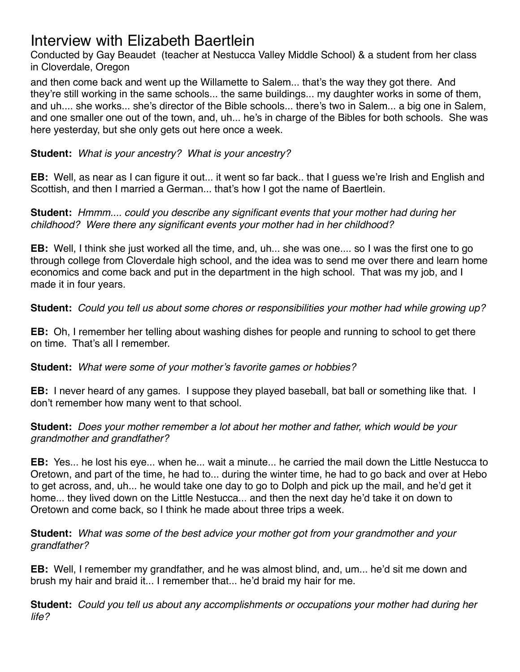Conducted by Gay Beaudet (teacher at Nestucca Valley Middle School) & a student from her class in Cloverdale, Oregon

and then come back and went up the Willamette to Salem... that's the way they got there. And they're still working in the same schools... the same buildings... my daughter works in some of them, and uh.... she works... she's director of the Bible schools... there's two in Salem... a big one in Salem, and one smaller one out of the town, and, uh... he's in charge of the Bibles for both schools. She was here yesterday, but she only gets out here once a week.

**Student:** *What is your ancestry? What is your ancestry?*

**EB:** Well, as near as I can figure it out... it went so far back.. that I guess we're Irish and English and Scottish, and then I married a German... that's how I got the name of Baertlein.

**Student:** *Hmmm.... could you describe any significant events that your mother had during her childhood? Were there any significant events your mother had in her childhood?*

**EB:** Well, I think she just worked all the time, and, uh... she was one.... so I was the first one to go through college from Cloverdale high school, and the idea was to send me over there and learn home economics and come back and put in the department in the high school. That was my job, and I made it in four years.

**Student:** *Could you tell us about some chores or responsibilities your mother had while growing up?*

**EB:** Oh, I remember her telling about washing dishes for people and running to school to get there on time. That's all I remember.

**Student:** *What were some of your mother's favorite games or hobbies?*

**EB:** I never heard of any games. I suppose they played baseball, bat ball or something like that. I don't remember how many went to that school.

**Student:** *Does your mother remember a lot about her mother and father, which would be your grandmother and grandfather?*

**EB:** Yes... he lost his eye... when he... wait a minute... he carried the mail down the Little Nestucca to Oretown, and part of the time, he had to... during the winter time, he had to go back and over at Hebo to get across, and, uh... he would take one day to go to Dolph and pick up the mail, and he'd get it home... they lived down on the Little Nestucca... and then the next day he'd take it on down to Oretown and come back, so I think he made about three trips a week.

**Student:** *What was some of the best advice your mother got from your grandmother and your grandfather?*

**EB:** Well, I remember my grandfather, and he was almost blind, and, um... he'd sit me down and brush my hair and braid it... I remember that... he'd braid my hair for me.

**Student:** *Could you tell us about any accomplishments or occupations your mother had during her life?*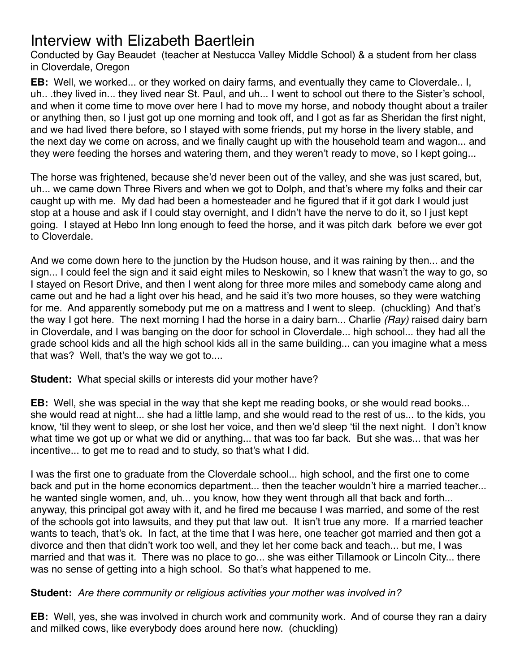Conducted by Gay Beaudet (teacher at Nestucca Valley Middle School) & a student from her class in Cloverdale, Oregon

**EB:** Well, we worked... or they worked on dairy farms, and eventually they came to Cloverdale.. I, uh.. .they lived in... they lived near St. Paul, and uh... I went to school out there to the Sister's school, and when it come time to move over here I had to move my horse, and nobody thought about a trailer or anything then, so I just got up one morning and took off, and I got as far as Sheridan the first night, and we had lived there before, so I stayed with some friends, put my horse in the livery stable, and the next day we come on across, and we finally caught up with the household team and wagon... and they were feeding the horses and watering them, and they weren't ready to move, so I kept going...

The horse was frightened, because she'd never been out of the valley, and she was just scared, but, uh... we came down Three Rivers and when we got to Dolph, and that's where my folks and their car caught up with me. My dad had been a homesteader and he figured that if it got dark I would just stop at a house and ask if I could stay overnight, and I didn't have the nerve to do it, so I just kept going. I stayed at Hebo Inn long enough to feed the horse, and it was pitch dark before we ever got to Cloverdale.

And we come down here to the junction by the Hudson house, and it was raining by then... and the sign... I could feel the sign and it said eight miles to Neskowin, so I knew that wasn't the way to go, so I stayed on Resort Drive, and then I went along for three more miles and somebody came along and came out and he had a light over his head, and he said it's two more houses, so they were watching for me. And apparently somebody put me on a mattress and I went to sleep. (chuckling) And that's the way I got here. The next morning I had the horse in a dairy barn... Charlie *(Ray)* raised dairy barn in Cloverdale, and I was banging on the door for school in Cloverdale... high school... they had all the grade school kids and all the high school kids all in the same building... can you imagine what a mess that was? Well, that's the way we got to....

**Student:** What special skills or interests did your mother have?

**EB:** Well, she was special in the way that she kept me reading books, or she would read books... she would read at night... she had a little lamp, and she would read to the rest of us... to the kids, you know, 'til they went to sleep, or she lost her voice, and then we'd sleep 'til the next night. I don't know what time we got up or what we did or anything... that was too far back. But she was... that was her incentive... to get me to read and to study, so that's what I did.

I was the first one to graduate from the Cloverdale school... high school, and the first one to come back and put in the home economics department... then the teacher wouldn't hire a married teacher... he wanted single women, and, uh... you know, how they went through all that back and forth... anyway, this principal got away with it, and he fired me because I was married, and some of the rest of the schools got into lawsuits, and they put that law out. It isn't true any more. If a married teacher wants to teach, that's ok. In fact, at the time that I was here, one teacher got married and then got a divorce and then that didn't work too well, and they let her come back and teach... but me, I was married and that was it. There was no place to go... she was either Tillamook or Lincoln City... there was no sense of getting into a high school. So that's what happened to me.

#### **Student:** *Are there community or religious activities your mother was involved in?*

**EB:** Well, yes, she was involved in church work and community work. And of course they ran a dairy and milked cows, like everybody does around here now. (chuckling)